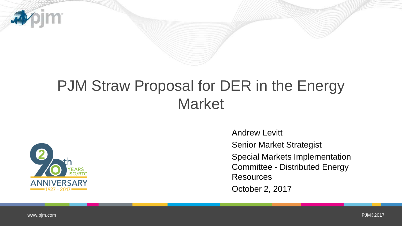

# PJM Straw Proposal for DER in the Energy **Market**



Andrew Levitt

Senior Market Strategist

Special Markets Implementation Committee - Distributed Energy **Resources** 

October 2, 2017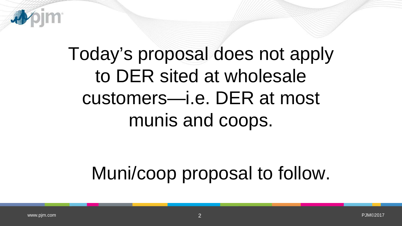

# Today's proposal does not apply to DER sited at wholesale customers—i.e. DER at most munis and coops.

# Muni/coop proposal to follow.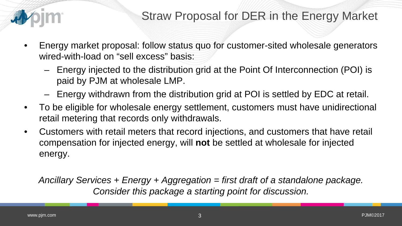

- Energy market proposal: follow status quo for customer-sited wholesale generators wired-with-load on "sell excess" basis:
	- Energy injected to the distribution grid at the Point Of Interconnection (POI) is paid by PJM at wholesale LMP.
	- Energy withdrawn from the distribution grid at POI is settled by EDC at retail.
- To be eligible for wholesale energy settlement, customers must have unidirectional retail metering that records only withdrawals.
- Customers with retail meters that record injections, and customers that have retail compensation for injected energy, will **not** be settled at wholesale for injected energy.

*Ancillary Services + Energy + Aggregation = first draft of a standalone package. Consider this package a starting point for discussion.*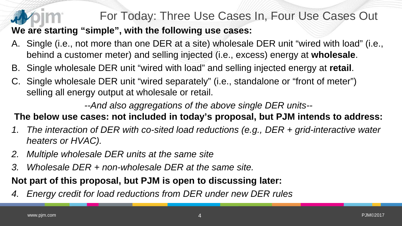### For Today: Three Use Cases In, Four Use Cases Out

**We are starting "simple", with the following use cases:**

- A. Single (i.e., not more than one DER at a site) wholesale DER unit "wired with load" (i.e., behind a customer meter) and selling injected (i.e., excess) energy at **wholesale**.
- B. Single wholesale DER unit "wired with load" and selling injected energy at **retail**.
- C. Single wholesale DER unit "wired separately" (i.e., standalone or "front of meter") selling all energy output at wholesale or retail.

*--And also aggregations of the above single DER units--*

### **The below use cases: not included in today's proposal, but PJM intends to address:**

- *1. The interaction of DER with co-sited load reductions (e.g., DER + grid-interactive water heaters or HVAC).*
- *2. Multiple wholesale DER units at the same site*
- *3. Wholesale DER + non-wholesale DER at the same site.*

### **Not part of this proposal, but PJM is open to discussing later:**

*4. Energy credit for load reductions from DER under new DER rules*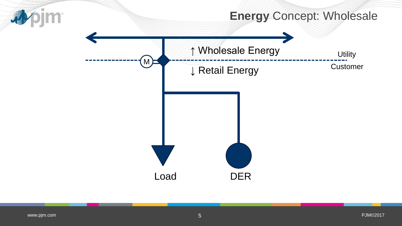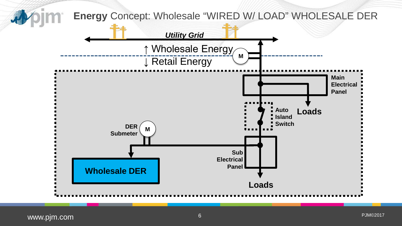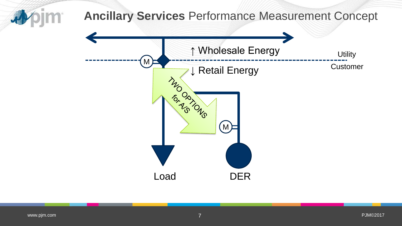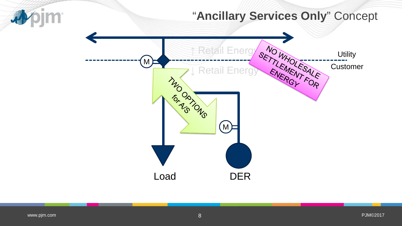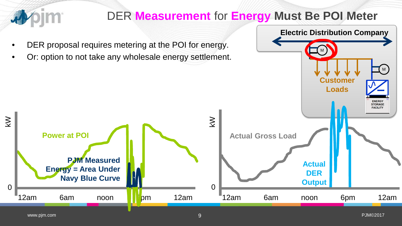

## DER **Measurement** for **Energy Must Be POI Meter**

M

**Electric Distribution Company**

M

- DER proposal requires metering at the POI for energy.
- Or: option to not take any wholesale energy settlement.

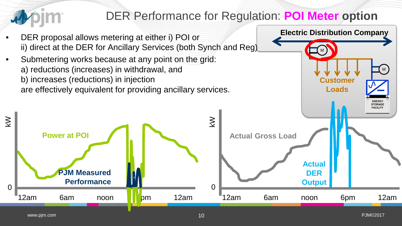

## DER Performance for Regulation: **POI Meter option**

**Customer**

M

**Electric Distribution Company**

M

**Loads**

- DER proposal allows metering at either i) POI or ii) direct at the DER for Ancillary Services (both Synch and Reg)
- Submetering works because at any point on the grid: a) reductions (increases) in withdrawal, and b) increases (reductions) in injection are effectively equivalent for providing ancillary services.

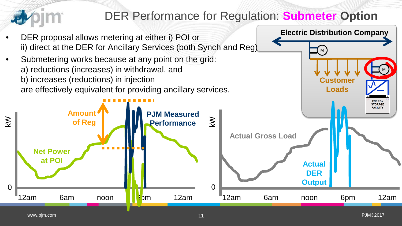

## DER Performance for Regulation: **Submeter Option**

**Customer**

M

**Electric Distribution Company**

M



• Submetering works because at any point on the grid: a) reductions (increases) in withdrawal, and b) increases (reductions) in injection are effectively equivalent for providing ancillary services.

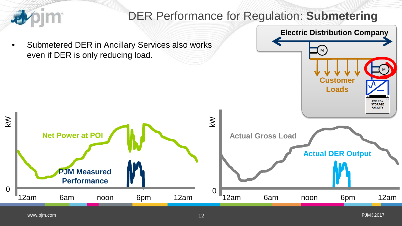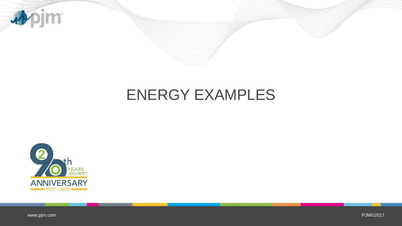

## ENERGY EXAMPLES



[www.pjm.com](http://www.pjm.com/)

PJM©2017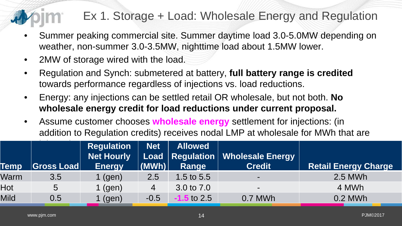## Ex 1. Storage + Load: Wholesale Energy and Regulation

- Summer peaking commercial site. Summer daytime load 3.0-5.0MW depending on weather, non-summer 3.0-3.5MW, nighttime load about 1.5MW lower.
- 2MW of storage wired with the load.
- Regulation and Synch: submetered at battery, **full battery range is credited**  towards performance regardless of injections vs. load reductions.
- Energy: any injections can be settled retail OR wholesale, but not both. **No wholesale energy credit for load reductions under current proposal.**
- Assume customer chooses **wholesale energy** settlement for injections: (in addition to Regulation credits) receives nodal LMP at wholesale for MWh that are

| <b>Temp</b> | <b>Gross Load</b> | <b>Regulation</b><br>Net Hourly<br><b>Energy</b> | <b>Net</b><br>$ \mathbf{(MWh)} $ | <b>Allowed</b><br>Range | Load   Regulation   Wholesale Energy<br><b>Credit</b> | <b>Retail Energy Charge</b> |
|-------------|-------------------|--------------------------------------------------|----------------------------------|-------------------------|-------------------------------------------------------|-----------------------------|
| Warm        | 3.5               | (gen)                                            | 2.5                              | 1.5 to $5.5$            | $\blacksquare$                                        | 2.5 MWh                     |
| Hot         | 5                 | (gen)                                            | 4                                | 3.0 to 7.0              | $\blacksquare$                                        | 4 MWh                       |
| Mild        | $0.5\,$           | (gen)                                            | $-0.5$                           | $\textbf{-1.5}$ to 2.5  | 0.7 MWh                                               | 0.2 MWh                     |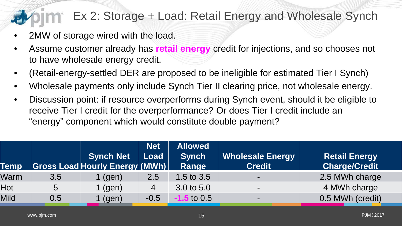## Ex 2: Storage + Load: Retail Energy and Wholesale Synch

- 2MW of storage wired with the load.
- Assume customer already has **retail energy** credit for injections, and so chooses not to have wholesale energy credit.
- (Retail-energy-settled DER are proposed to be ineligible for estimated Tier I Synch)
- Wholesale payments only include Synch Tier II clearing price, not wholesale energy.
- Discussion point: if resource overperforms during Synch event, should it be eligible to receive Tier I credit for the overperformance? Or does Tier I credit include an "energy" component which would constitute double payment?

| <b>Temp</b> |     | <b>Synch Net</b><br><b>S</b> ross Load Hourly Energy (MWh) | <b>Net</b><br>Load | <b>Allowed</b><br><b>Synch</b><br>Range | <b>Wholesale Energy</b><br><b>Credit</b> | <b>Retail Energy</b><br><b>Charge/Credit</b> |
|-------------|-----|------------------------------------------------------------|--------------------|-----------------------------------------|------------------------------------------|----------------------------------------------|
| Warm        | 3.5 | $1$ (gen)                                                  | 2.5                | 1.5 to $3.5$                            | $\sim$                                   | 2.5 MWh charge                               |
| Hot         | 5   | $1$ (gen)                                                  | $\overline{4}$     | 3.0 to 5.0                              | $\sim$                                   | 4 MWh charge                                 |
| Mild        | 0.5 | $1$ (gen)                                                  | $-0.5$             | <b>1.5</b> to 0.5                       | $\blacksquare$                           | 0.5 MWh (credit)                             |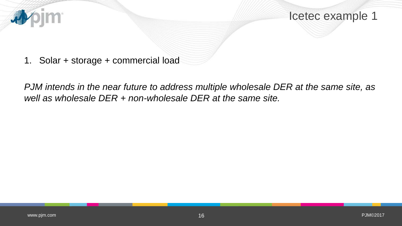

Icetec example 1

1. Solar + storage + commercial load

*PJM intends in the near future to address multiple wholesale DER at the same site, as well as wholesale DER + non-wholesale DER at the same site.*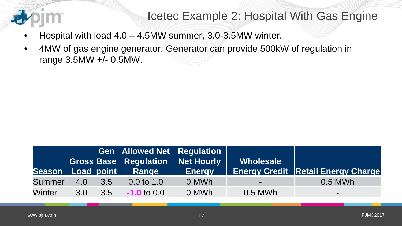

### Icetec Example 2: Hospital With Gas Engine

- Hospital with load  $4.0 4.5$ MW summer,  $3.0 3.5$ MW winter.
- 4MW of gas engine generator. Generator can provide 500kW of regulation in range 3.5MW +/- 0.5MW.

| $\sf{Season}$ $\sf{Local}$ point |     |              | $\mid$ Gen $\mid$ Allowed Net $\mid$ Regulation $\mid$<br><b>Gross Base Regulation Net Hourly</b><br>Range | <b>Energy</b> | Wholesale | <b>Energy Credit Retail Energy Charge</b> |
|----------------------------------|-----|--------------|------------------------------------------------------------------------------------------------------------|---------------|-----------|-------------------------------------------|
| <b>Summer</b>                    | 4.0 | $\sqrt{3.5}$ | $0.0 \text{ to } 1.0$                                                                                      | 0 MWh         | $\sim$    | 0.5 MWh                                   |
| <b>Winter</b>                    | 3.0 | 3.5          | $-1.0$ to $0.0$                                                                                            | 0 MWh         | 0.5 MWh   | $\sim$                                    |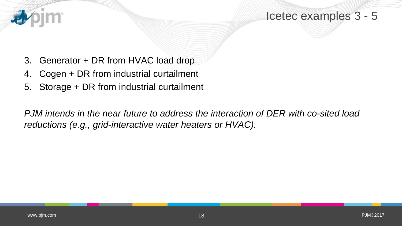

- 3. Generator + DR from HVAC load drop
- 4. Cogen + DR from industrial curtailment
- 5. Storage + DR from industrial curtailment

*PJM intends in the near future to address the interaction of DER with co-sited load reductions (e.g., grid-interactive water heaters or HVAC).*

看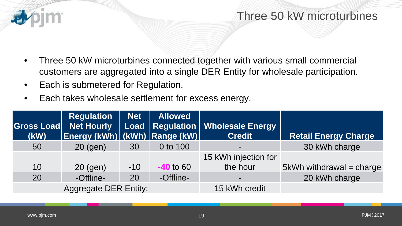

- Three 50 kW microturbines connected together with various small commercial customers are aggregated into a single DER Entity for wholesale participation.
- Each is submetered for Regulation.
- Each takes wholesale settlement for excess energy.

| Gross Load<br>(KW) | <b>Regulation</b><br><b>Net Hourly</b><br>Energy (kWh) (kWh) Range (kW) | <b>Net</b><br>Load | <b>Allowed</b> | Regulation   Wholesale Energy<br><b>Credit</b> | <b>Retail Energy Charge</b> |
|--------------------|-------------------------------------------------------------------------|--------------------|----------------|------------------------------------------------|-----------------------------|
| 50                 | $20$ (gen)                                                              | 30                 | 0 to 100       |                                                | 30 kWh charge               |
|                    |                                                                         |                    |                | 15 kWh injection for                           |                             |
| 10                 | 20 (gen)                                                                | $-10$              | $-40$ to 60    | the hour                                       | 5kWh withdrawal = charge    |
| 20                 | -Offline-                                                               | 20                 | -Offline-      | $\blacksquare$                                 | 20 kWh charge               |
|                    | <b>Aggregate DER Entity:</b>                                            |                    |                | 15 kWh credit                                  |                             |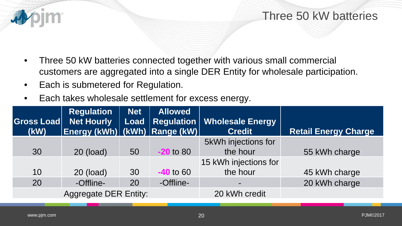

- Three 50 kW batteries connected together with various small commercial customers are aggregated into a single DER Entity for wholesale participation.
- Each is submetered for Regulation.
- Each takes wholesale settlement for excess energy.

| <b>Gross Load</b><br>(KW) | <b>Regulation</b><br><b>Net Hourly</b><br> Energy (kWh)  (kWh)  Range (kW) | Net | <b>Allowed</b> | Load   Regulation   Wholesale Energy  <br><b>Credit</b> | <b>Retail Energy Charge</b> |
|---------------------------|----------------------------------------------------------------------------|-----|----------------|---------------------------------------------------------|-----------------------------|
| 30                        | 20 (load)                                                                  | 50  | $-20$ to 80    | 5kWh injections for<br>the hour                         | 55 kWh charge               |
|                           |                                                                            |     |                | 15 kWh injections for                                   |                             |
| 10                        | 20 (load)                                                                  | 30  | $-40$ to 60    | the hour                                                | 45 kWh charge               |
| 20                        | -Offline-                                                                  | 20  | -Offline-      |                                                         | 20 kWh charge               |
|                           | <b>Aggregate DER Entity:</b>                                               |     |                | 20 kWh credit                                           |                             |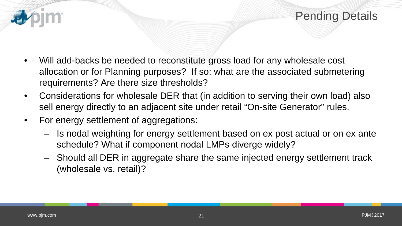

- Will add-backs be needed to reconstitute gross load for any wholesale cost allocation or for Planning purposes? If so: what are the associated submetering requirements? Are there size thresholds?
- Considerations for wholesale DER that (in addition to serving their own load) also sell energy directly to an adjacent site under retail "On-site Generator" rules.
- For energy settlement of aggregations:
	- Is nodal weighting for energy settlement based on ex post actual or on ex ante schedule? What if component nodal LMPs diverge widely?
	- Should all DER in aggregate share the same injected energy settlement track (wholesale vs. retail)?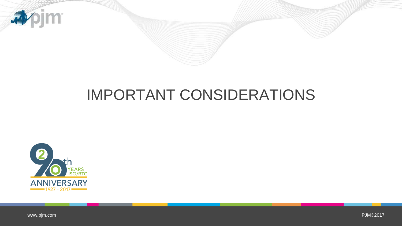

# IMPORTANT CONSIDERATIONS



[www.pjm.com](http://www.pjm.com/)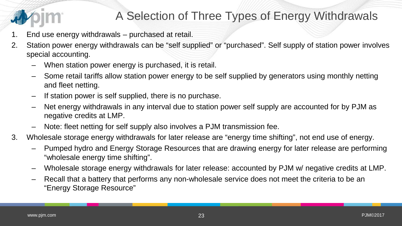## A Selection of Three Types of Energy Withdrawals

- 1. End use energy withdrawals purchased at retail.
- 2. Station power energy withdrawals can be "self supplied" or "purchased". Self supply of station power involves special accounting.
	- When station power energy is purchased, it is retail.
	- Some retail tariffs allow station power energy to be self supplied by generators using monthly netting and fleet netting.
	- If station power is self supplied, there is no purchase.
	- Net energy withdrawals in any interval due to station power self supply are accounted for by PJM as negative credits at LMP.
	- Note: fleet netting for self supply also involves a PJM transmission fee.
- 3. Wholesale storage energy withdrawals for later release are "energy time shifting", not end use of energy.
	- Pumped hydro and Energy Storage Resources that are drawing energy for later release are performing "wholesale energy time shifting".
	- Wholesale storage energy withdrawals for later release: accounted by PJM w/ negative credits at LMP.
	- Recall that a battery that performs any non-wholesale service does not meet the criteria to be an "Energy Storage Resource"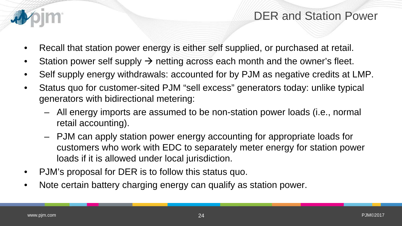

### DER and Station Power

- Recall that station power energy is either self supplied, or purchased at retail.
- Station power self supply  $\rightarrow$  netting across each month and the owner's fleet.
- Self supply energy withdrawals: accounted for by PJM as negative credits at LMP.
- Status quo for customer-sited PJM "sell excess" generators today: unlike typical generators with bidirectional metering:
	- All energy imports are assumed to be non-station power loads (i.e., normal retail accounting).
	- PJM can apply station power energy accounting for appropriate loads for customers who work with EDC to separately meter energy for station power loads if it is allowed under local jurisdiction.
- PJM's proposal for DER is to follow this status quo.
- Note certain battery charging energy can qualify as station power.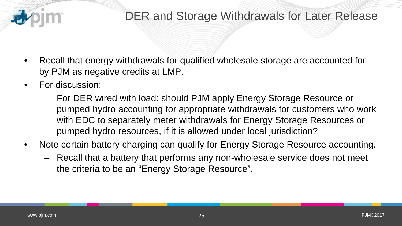

### DER and Storage Withdrawals for Later Release

- Recall that energy withdrawals for qualified wholesale storage are accounted for by PJM as negative credits at LMP.
- For discussion:
	- For DER wired with load: should PJM apply Energy Storage Resource or pumped hydro accounting for appropriate withdrawals for customers who work with EDC to separately meter withdrawals for Energy Storage Resources or pumped hydro resources, if it is allowed under local jurisdiction?
- Note certain battery charging can qualify for Energy Storage Resource accounting.
	- Recall that a battery that performs any non-wholesale service does not meet the criteria to be an "Energy Storage Resource".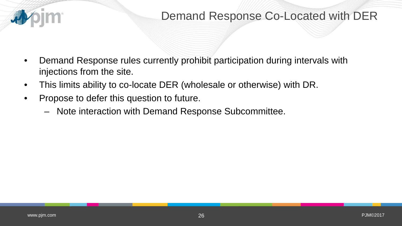

- Demand Response rules currently prohibit participation during intervals with injections from the site.
- This limits ability to co-locate DER (wholesale or otherwise) with DR.
- Propose to defer this question to future.
	- Note interaction with Demand Response Subcommittee.

看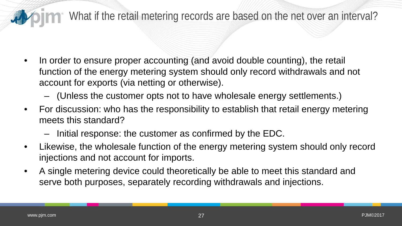### **The What if the retail metering records are based on the net over an interval?**

- In order to ensure proper accounting (and avoid double counting), the retail function of the energy metering system should only record withdrawals and not account for exports (via netting or otherwise).
	- (Unless the customer opts not to have wholesale energy settlements.)
- For discussion: who has the responsibility to establish that retail energy metering meets this standard?
	- Initial response: the customer as confirmed by the EDC.
- Likewise, the wholesale function of the energy metering system should only record injections and not account for imports.
- A single metering device could theoretically be able to meet this standard and serve both purposes, separately recording withdrawals and injections.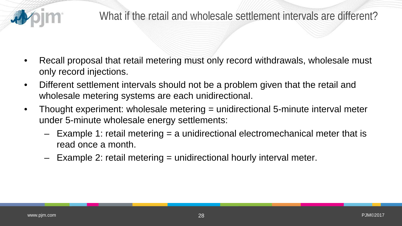

- Recall proposal that retail metering must only record withdrawals, wholesale must only record injections.
- Different settlement intervals should not be a problem given that the retail and wholesale metering systems are each unidirectional.
- Thought experiment: wholesale metering = unidirectional 5-minute interval meter under 5-minute wholesale energy settlements:
	- Example 1: retail metering = a unidirectional electromechanical meter that is read once a month.
	- Example 2: retail metering = unidirectional hourly interval meter.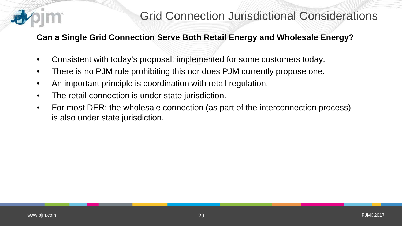

### **Can a Single Grid Connection Serve Both Retail Energy and Wholesale Energy?**

- Consistent with today's proposal, implemented for some customers today.
- There is no PJM rule prohibiting this nor does PJM currently propose one.
- An important principle is coordination with retail regulation.
- The retail connection is under state jurisdiction.
- For most DER: the wholesale connection (as part of the interconnection process) is also under state jurisdiction.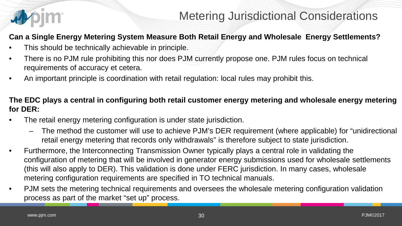

### **Can a Single Energy Metering System Measure Both Retail Energy and Wholesale Energy Settlements?**

- This should be technically achievable in principle.
- There is no PJM rule prohibiting this nor does PJM currently propose one. PJM rules focus on technical requirements of accuracy et cetera.
- An important principle is coordination with retail regulation: local rules may prohibit this.

### **The EDC plays a central in configuring both retail customer energy metering and wholesale energy metering for DER:**

- The retail energy metering configuration is under state jurisdiction.
	- The method the customer will use to achieve PJM's DER requirement (where applicable) for "unidirectional retail energy metering that records only withdrawals" is therefore subject to state jurisdiction.
- Furthermore, the Interconnecting Transmission Owner typically plays a central role in validating the configuration of metering that will be involved in generator energy submissions used for wholesale settlements (this will also apply to DER). This validation is done under FERC jurisdiction. In many cases, wholesale metering configuration requirements are specified in TO technical manuals.
- PJM sets the metering technical requirements and oversees the wholesale metering configuration validation process as part of the market "set up" process.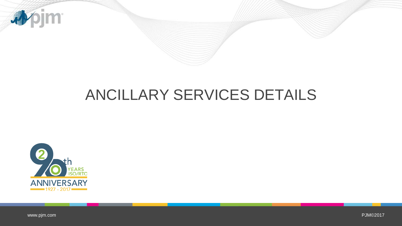

# ANCILLARY SERVICES DETAILS



[www.pjm.com](http://www.pjm.com/)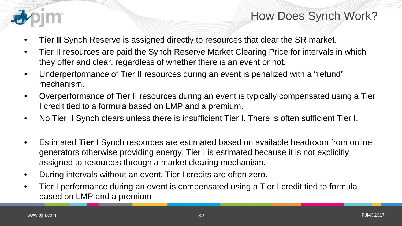

### How Does Synch Work?

- **Tier II** Synch Reserve is assigned directly to resources that clear the SR market.
- Tier II resources are paid the Synch Reserve Market Clearing Price for intervals in which they offer and clear, regardless of whether there is an event or not.
- Underperformance of Tier II resources during an event is penalized with a "refund" mechanism.
- Overperformance of Tier II resources during an event is typically compensated using a Tier I credit tied to a formula based on LMP and a premium.
- No Tier II Synch clears unless there is insufficient Tier I. There is often sufficient Tier I.
- Estimated **Tier I** Synch resources are estimated based on available headroom from online generators otherwise providing energy. Tier I is estimated because it is not explicitly assigned to resources through a market clearing mechanism.
- During intervals without an event, Tier I credits are often zero.
- Tier I performance during an event is compensated using a Tier I credit tied to formula based on LMP and a premium